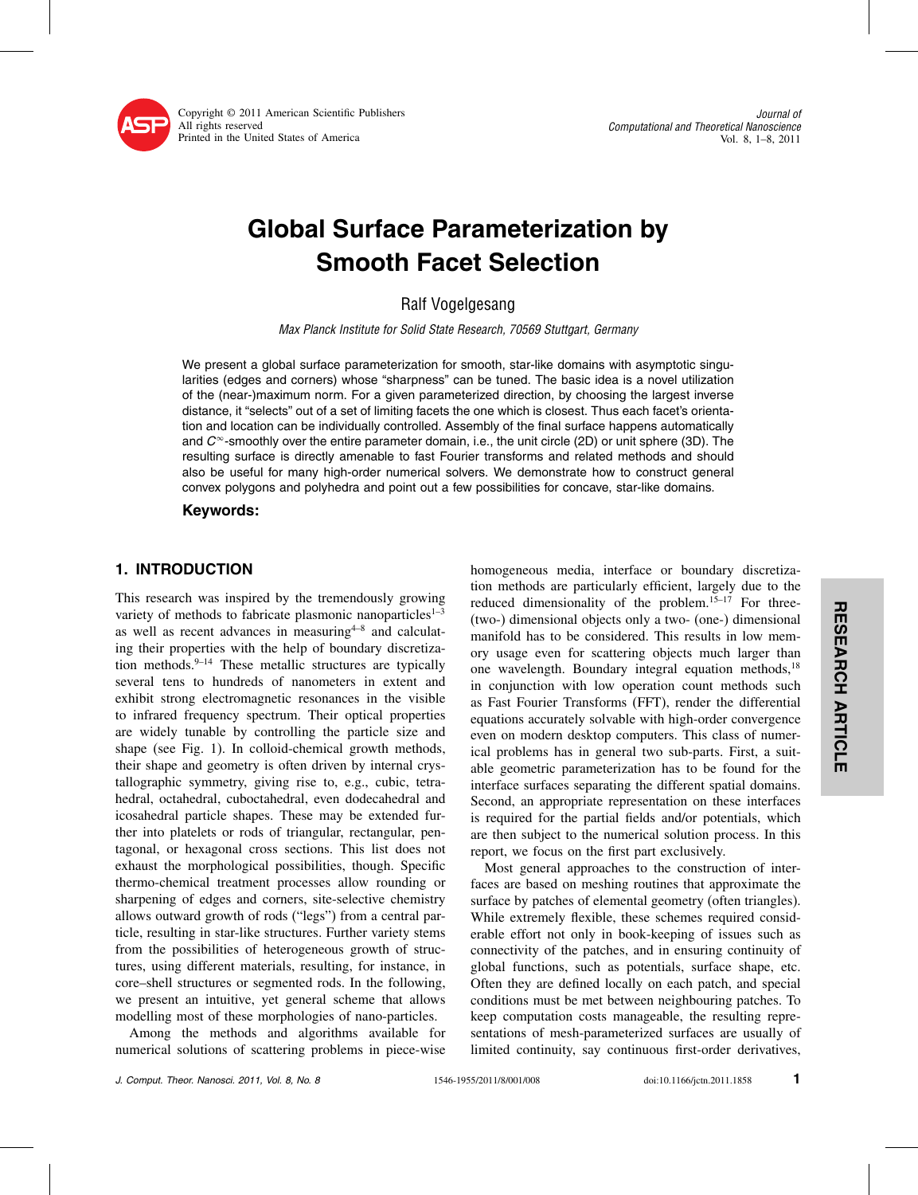

Copyright © 2011 American Scientific Publishers All rights reserved Printed in the United States of America

# Global Surface Parameterization by Smooth Facet Selection

Max Planck Institute for Solid State Research, 70569 Stuttgart, Germany

We present a global surface parameterization for smooth, star-like domains with asymptotic singularities (edges and corners) whose "sharpness" can be tuned. The basic idea is a novel utilization of the (near-)maximum norm. For a given parameterized direction, by choosing the largest inverse distance, it "selects" out of a set of limiting facets the one which is closest. Thus each facet's orientation and location can be individually controlled. Assembly of the final surface happens automatically and  $C^\infty$ -smoothly over the entire parameter domain, i.e., the unit circle (2D) or unit sphere (3D). The resulting surface is directly amenable to fast Fourier transforms and related methods and should also be useful for many high-order numerical solvers. We demonstrate how to construct general convex polygons and polyhedra and point out a few possibilities for concave, star-like domains.

## Keywords:

# 1. INTRODUCTION

This research was inspired by the tremendously growing variety of methods to fabricate plasmonic nanoparticles<sup>1-3</sup> as well as recent advances in measuring $4-8$  and calculating their properties with the help of boundary discretization methods. $9-14$  These metallic structures are typically several tens to hundreds of nanometers in extent and exhibit strong electromagnetic resonances in the visible to infrared frequency spectrum. Their optical properties are widely tunable by controlling the particle size and shape (see Fig. 1). In colloid-chemical growth methods, their shape and geometry is often driven by internal crystallographic symmetry, giving rise to, e.g., cubic, tetrahedral, octahedral, cuboctahedral, even dodecahedral and icosahedral particle shapes. These may be extended further into platelets or rods of triangular, rectangular, pentagonal, or hexagonal cross sections. This list does not exhaust the morphological possibilities, though. Specific thermo-chemical treatment processes allow rounding or sharpening of edges and corners, site-selective chemistry allows outward growth of rods ("legs") from a central particle, resulting in star-like structures. Further variety stems from the possibilities of heterogeneous growth of structures, using different materials, resulting, for instance, in core–shell structures or segmented rods. In the following, we present an intuitive, yet general scheme that allows modelling most of these morphologies of nano-particles.

Among the methods and algorithms available for numerical solutions of scattering problems in piece-wise

homogeneous media, interface or boundary discretization methods are particularly efficient, largely due to the reduced dimensionality of the problem.<sup>15-17</sup> For three-(two-) dimensional objects only a two- (one-) dimensional manifold has to be considered. This results in low memory usage even for scattering objects much larger than one wavelength. Boundary integral equation methods,<sup>18</sup> in conjunction with low operation count methods such as Fast Fourier Transforms (FFT), render the differential equations accurately solvable with high-order convergence even on modern desktop computers. This class of numerical problems has in general two sub-parts. First, a suitable geometric parameterization has to be found for the interface surfaces separating the different spatial domains. Second, an appropriate representation on these interfaces is required for the partial fields and/or potentials, which are then subject to the numerical solution process. In this report, we focus on the first part exclusively.

Most general approaches to the construction of interfaces are based on meshing routines that approximate the surface by patches of elemental geometry (often triangles). While extremely flexible, these schemes required considerable effort not only in book-keeping of issues such as connectivity of the patches, and in ensuring continuity of global functions, such as potentials, surface shape, etc. Often they are defined locally on each patch, and special conditions must be met between neighbouring patches. To keep computation costs manageable, the resulting representations of mesh-parameterized surfaces are usually of limited continuity, say continuous first-order derivatives,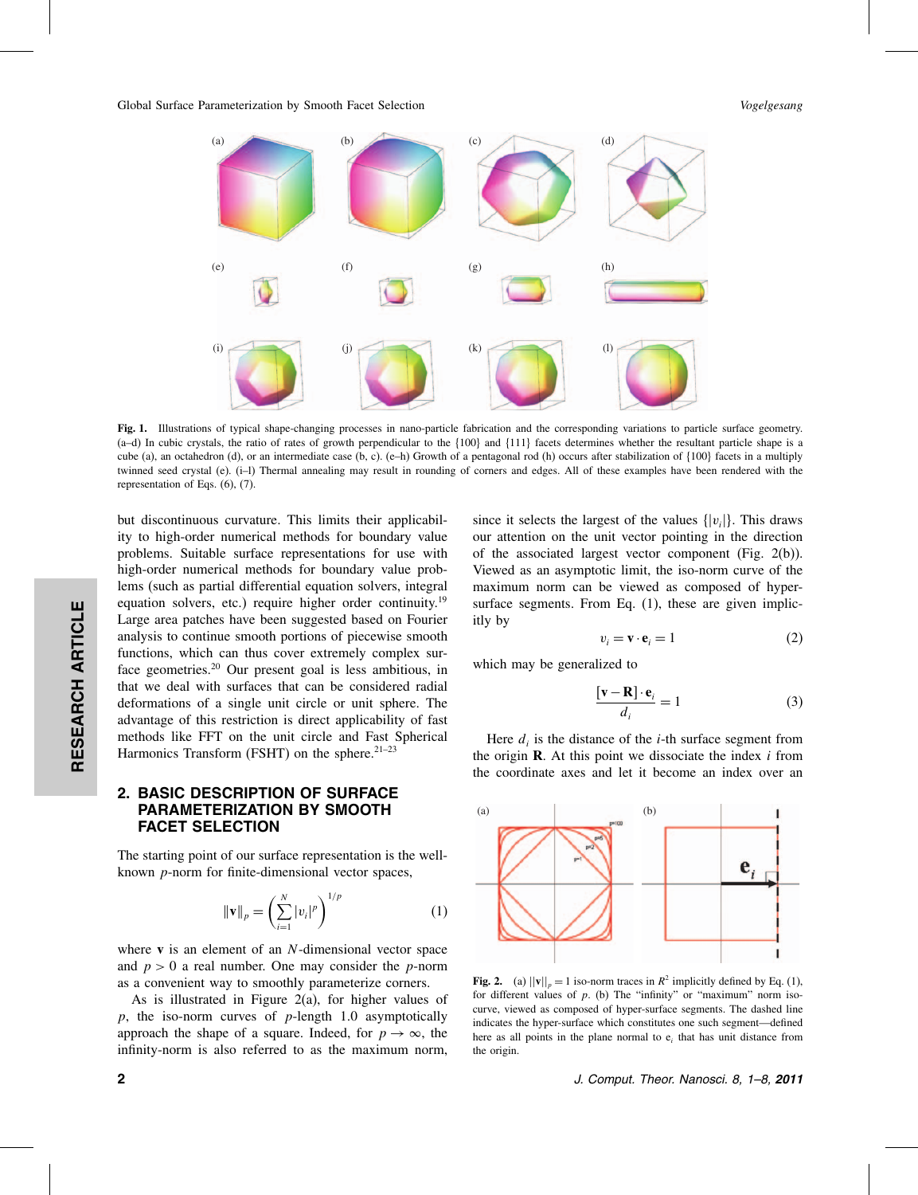

Fig. 1. Illustrations of typical shape-changing processes in nano-particle fabrication and the corresponding variations to particle surface geometry.  $(a-d)$  In cubic crystals, the ratio of rates of growth perpendicular to the  $\{100\}$  and  $\{111\}$  facets determines whether the resultant particle shape is a cube (a), an octahedron (d), or an intermediate case (b, c). (e–h) Growth of a pentagonal rod (h) occurs after stabilization of  $\{100\}$  facets in a multiply twinned seed crystal (e). (i–l) Thermal annealing may result in rounding of corners and edges. All of these examples have been rendered with the representation of Eqs. (6), (7).

but discontinuous curvature. This limits their applicability to high-order numerical methods for boundary value problems. Suitable surface representations for use with high-order numerical methods for boundary value problems (such as partial differential equation solvers, integral equation solvers, etc.) require higher order continuity.<sup>19</sup> Large area patches have been suggested based on Fourier analysis to continue smooth portions of piecewise smooth functions, which can thus cover extremely complex surface geometries.20 Our present goal is less ambitious, in that we deal with surfaces that can be considered radial deformations of a single unit circle or unit sphere. The advantage of this restriction is direct applicability of fast methods like FFT on the unit circle and Fast Spherical Harmonics Transform (FSHT) on the sphere.<sup>21–23</sup>

## 2. BASIC DESCRIPTION OF SURFACE PARAMETERIZATION BY SMOOTH FACET SELECTION

The starting point of our surface representation is the wellknown p-norm for finite-dimensional vector spaces,

$$
\|\mathbf{v}\|_{p} = \left(\sum_{i=1}^{N} |v_{i}|^{p}\right)^{1/p} \tag{1}
$$

where  $v$  is an element of an  $N$ -dimensional vector space and  $p > 0$  a real number. One may consider the *p*-norm as a convenient way to smoothly parameterize corners.

As is illustrated in Figure 2(a), for higher values of  $p$ , the iso-norm curves of  $p$ -length 1.0 asymptotically approach the shape of a square. Indeed, for  $p \to \infty$ , the infinity-norm is also referred to as the maximum norm,

since it selects the largest of the values  $\{|v_i|\}$ . This draws our attention on the unit vector pointing in the direction of the associated largest vector component (Fig. 2(b)). Viewed as an asymptotic limit, the iso-norm curve of the maximum norm can be viewed as composed of hypersurface segments. From Eq.  $(1)$ , these are given implicitly by

$$
v_i = \mathbf{v} \cdot \mathbf{e}_i = 1 \tag{2}
$$

which may be generalized to

$$
\frac{[\mathbf{v} - \mathbf{R}] \cdot \mathbf{e}_i}{d_i} = 1
$$
 (3)

Here  $d_i$  is the distance of the *i*-th surface segment from the origin **. At this point we dissociate the index**  $i$  **from** the coordinate axes and let it become an index over an



Fig. 2. (a)  $||\mathbf{v}||_p = 1$  iso-norm traces in  $R^2$  implicitly defined by Eq. (1), for different values of  $p$ . (b) The "infinity" or "maximum" norm isocurve, viewed as composed of hyper-surface segments. The dashed line indicates the hyper-surface which constitutes one such segment—defined here as all points in the plane normal to  $e_i$  that has unit distance from the origin.

2 J. Comput. Theor. Nanosci. 8, 1–8, 2011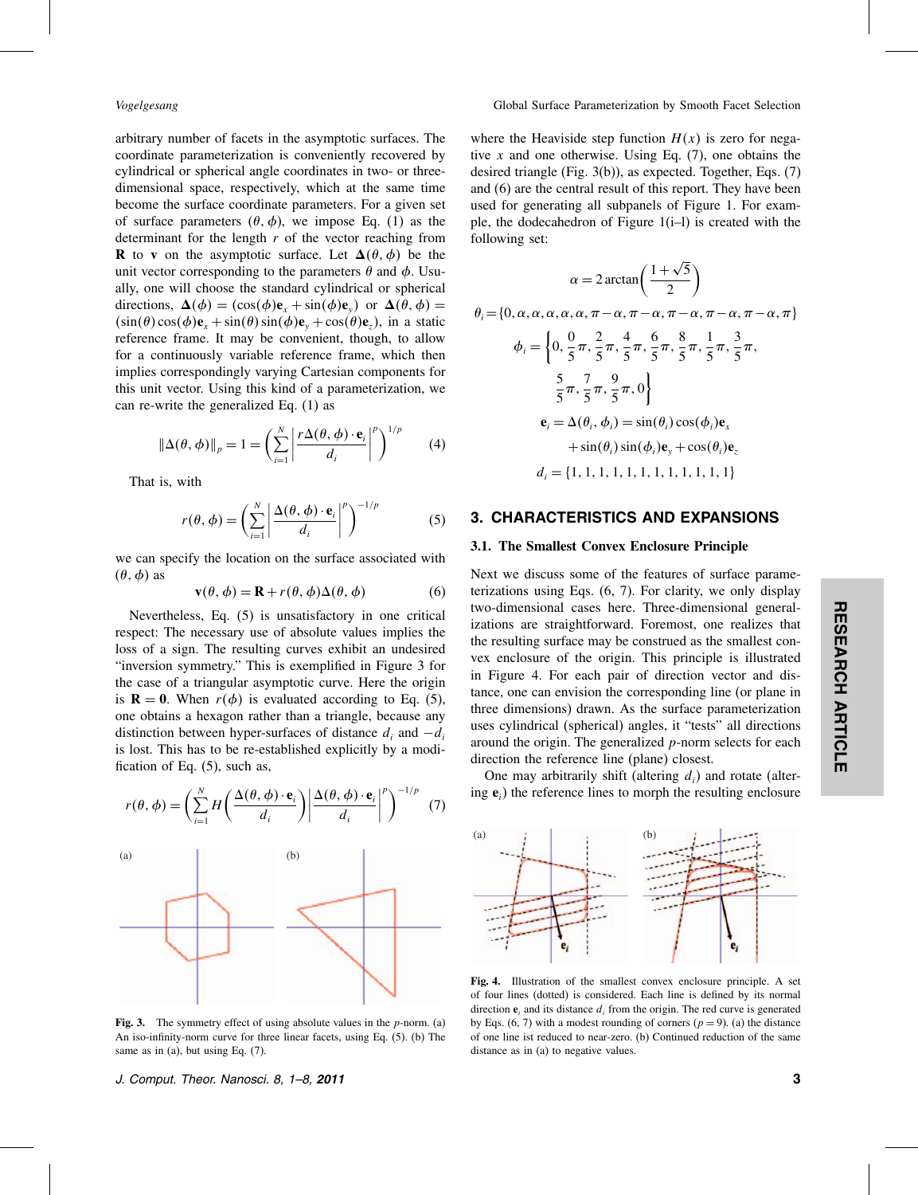arbitrary number of facets in the asymptotic surfaces. The coordinate parameterization is conveniently recovered by cylindrical or spherical angle coordinates in two- or threedimensional space, respectively, which at the same time become the surface coordinate parameters. For a given set of surface parameters  $(\theta, \phi)$ , we impose Eq. (1) as the determinant for the length  $r$  of the vector reaching from **R** to **v** on the asymptotic surface. Let  $\Delta(\theta, \phi)$  be the unit vector corresponding to the parameters  $\theta$  and  $\phi$ . Usually, one will choose the standard cylindrical or spherical directions,  $\Delta(\phi) = (\cos(\phi)\mathbf{e}_x + \sin(\phi)\mathbf{e}_y)$  or  $\Delta(\theta, \phi) =$  $\sin(\theta)\cos(\phi)e_x + \sin(\theta)\sin(\phi)e_y + \cos(\theta)e_z$ , in a static reference frame. It may be convenient, though, to allow for a continuously variable reference frame, which then implies correspondingly varying Cartesian components for this unit vector. Using this kind of a parameterization, we can re-write the generalized Eq. (1) as

$$
\|\Delta(\theta,\phi)\|_{p} = 1 = \left(\sum_{i=1}^{N} \left| \frac{r\Delta(\theta,\phi) \cdot \mathbf{e}_{i}}{d_{i}} \right|^{p}\right)^{1/p}
$$
 (4)

That is, with

$$
r(\theta, \phi) = \left(\sum_{i=1}^{N} \left| \frac{\Delta(\theta, \phi) \cdot \mathbf{e}_i}{d_i} \right|^p \right)^{-1/p}
$$
(5)

we can specify the location on the surface associated with  $(\theta, \phi)$  as

$$
\mathbf{v}(\theta, \phi) = \mathbf{R} + r(\theta, \phi) \Delta(\theta, \phi)
$$
 (6)

Nevertheless, Eq. (5) is unsatisfactory in one critical respect: The necessary use of absolute values implies the loss of a sign. The resulting curves exhibit an undesired "inversion symmetry." This is exemplified in Figure 3 for the case of a triangular asymptotic curve. Here the origin is  $\mathbf{R} = \mathbf{0}$ . When  $r(\phi)$  is evaluated according to Eq. (5), one obtains a hexagon rather than a triangle, because any distinction between hyper-surfaces of distance  $d_i$  and  $-d_i$ is lost. This has to be re-established explicitly by a modification of Eq. (5), such as,



Fig. 3. The symmetry effect of using absolute values in the  $p$ -norm. (a) An iso-infinity-norm curve for three linear facets, using Eq. (5). (b) The same as in  $(a)$ , but using Eq.  $(7)$ .

where the Heaviside step function  $H(x)$  is zero for negative x and one otherwise. Using Eq.  $(7)$ , one obtains the desired triangle (Fig. 3(b)), as expected. Together, Eqs. (7) and (6) are the central result of this report. They have been used for generating all subpanels of Figure 1. For example, the dodecahedron of Figure 1(i–l) is created with the following set:

 <sup>=</sup> 2 arctan-<sup>1</sup>+√<sup>5</sup> 2 i <sup>=</sup><sup>0</sup> <sup>−</sup> <sup>−</sup> <sup>−</sup> <sup>−</sup> <sup>−</sup> i <sup>=</sup> 0 0 5 2 5 4 5 6 5 8 5 1 5 3 5 5 5 7 5 9 5  0 <sup>e</sup><sup>i</sup> <sup>=</sup> i i <sup>=</sup> sini cosie<sup>x</sup> <sup>+</sup>sinisinie<sup>y</sup> <sup>+</sup>cosie<sup>z</sup> di <sup>=</sup> <sup>1</sup> <sup>1</sup> <sup>1</sup> <sup>1</sup> <sup>1</sup> <sup>1</sup> <sup>1</sup> <sup>1</sup> <sup>1</sup> <sup>1</sup> <sup>1</sup> <sup>1</sup>

# 3. CHARACTERISTICS AND EXPANSIONS

## 3.1. The Smallest Convex Enclosure Principle

Next we discuss some of the features of surface parameterizations using Eqs. (6, 7). For clarity, we only display two-dimensional cases here. Three-dimensional generalizations are straightforward. Foremost, one realizes that the resulting surface may be construed as the smallest convex enclosure of the origin. This principle is illustrated in Figure 4. For each pair of direction vector and distance, one can envision the corresponding line (or plane in three dimensions) drawn. As the surface parameterization uses cylindrical (spherical) angles, it "tests" all directions around the origin. The generalized p-norm selects for each direction the reference line (plane) closest.

One may arbitrarily shift (altering  $d_i$ ) and rotate (altering  $e_i$ ) the reference lines to morph the resulting enclosure



Fig. 4. Illustration of the smallest convex enclosure principle. A set of four lines (dotted) is considered. Each line is defined by its normal direction  $e_i$  and its distance  $d_i$  from the origin. The red curve is generated by Eqs. (6, 7) with a modest rounding of corners ( $p = 9$ ). (a) the distance of one line ist reduced to near-zero. (b) Continued reduction of the same distance as in (a) to negative values.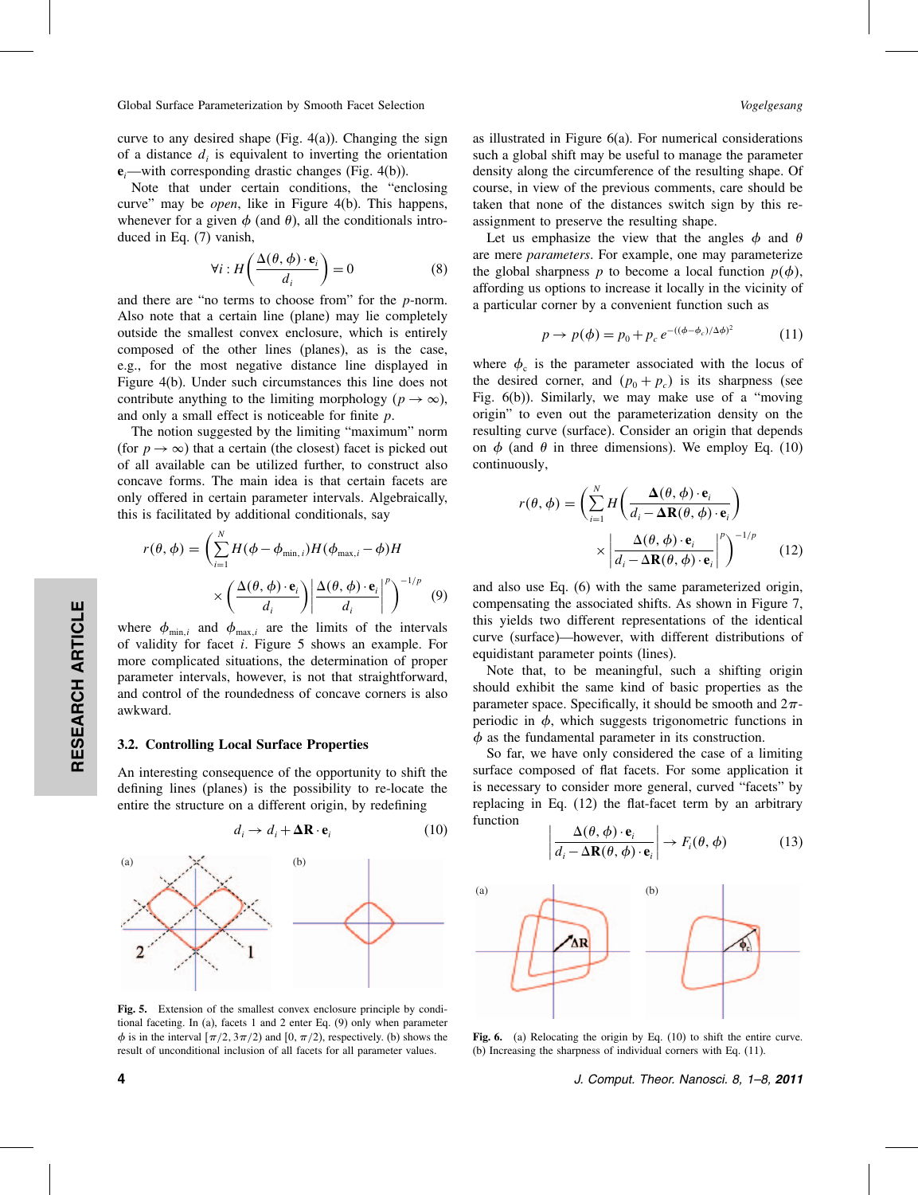curve to any desired shape (Fig.  $4(a)$ ). Changing the sign of a distance  $d_i$  is equivalent to inverting the orientation  $e_i$ —with corresponding drastic changes (Fig. 4(b)).

Note that under certain conditions, the "enclosing curve" may be *open*, like in Figure 4(b). This happens, whenever for a given  $\phi$  (and  $\theta$ ), all the conditionals introduced in Eq. (7) vanish,

$$
\forall i : H\left(\frac{\Delta(\theta, \phi) \cdot \mathbf{e}_i}{d_i}\right) = 0 \tag{8}
$$

and there are "no terms to choose from" for the p-norm. Also note that a certain line (plane) may lie completely outside the smallest convex enclosure, which is entirely composed of the other lines (planes), as is the case, e.g., for the most negative distance line displayed in Figure 4(b). Under such circumstances this line does not contribute anything to the limiting morphology ( $p \to \infty$ ), and only a small effect is noticeable for finite p.

The notion suggested by the limiting "maximum" norm (for  $p \to \infty$ ) that a certain (the closest) facet is picked out of all available can be utilized further, to construct also concave forms. The main idea is that certain facets are only offered in certain parameter intervals. Algebraically, this is facilitated by additional conditionals, say

$$
r(\theta, \phi) = \left(\sum_{i=1}^{N} H(\phi - \phi_{\min, i}) H(\phi_{\max, i} - \phi) H \times \left(\frac{\Delta(\theta, \phi) \cdot \mathbf{e}_i}{d_i}\right) \middle| \frac{\Delta(\theta, \phi) \cdot \mathbf{e}_i}{d_i} \middle|^{p} \right)^{-1/p}
$$
(9)

where  $\phi_{\min,i}$  and  $\phi_{\max,i}$  are the limits of the intervals of validity for facet i. Figure 5 shows an example. For more complicated situations, the determination of proper parameter intervals, however, is not that straightforward, and control of the roundedness of concave corners is also awkward.

#### 3.2. Controlling Local Surface Properties

An interesting consequence of the opportunity to shift the defining lines (planes) is the possibility to re-locate the entire the structure on a different origin, by redefining



Fig. 5. Extension of the smallest convex enclosure principle by conditional faceting. In (a), facets 1 and 2 enter Eq. (9) only when parameter  $\phi$  is in the interval  $[\pi/2, 3\pi/2)$  and  $[0, \pi/2)$ , respectively. (b) shows the result of unconditional inclusion of all facets for all parameter values.

RESEARCH ARTICLE

RESEARCH ARTICLE

as illustrated in Figure 6(a). For numerical considerations such a global shift may be useful to manage the parameter density along the circumference of the resulting shape. Of course, in view of the previous comments, care should be taken that none of the distances switch sign by this reassignment to preserve the resulting shape.

Let us emphasize the view that the angles  $\phi$  and  $\theta$ are mere *parameters*. For example, one may parameterize the global sharpness p to become a local function  $p(\phi)$ , affording us options to increase it locally in the vicinity of a particular corner by a convenient function such as

$$
p \to p(\phi) = p_0 + p_c e^{-((\phi - \phi_c)/\Delta \phi)^2}
$$
 (11)

where  $\phi_c$  is the parameter associated with the locus of the desired corner, and  $(p_0 + p_c)$  is its sharpness (see Fig. 6(b)). Similarly, we may make use of a "moving origin" to even out the parameterization density on the resulting curve (surface). Consider an origin that depends on  $\phi$  (and  $\theta$  in three dimensions). We employ Eq. (10) continuously,

$$
r(\theta, \phi) = \left(\sum_{i=1}^{N} H\left(\frac{\Delta(\theta, \phi) \cdot \mathbf{e}_i}{d_i - \Delta \mathbf{R}(\theta, \phi) \cdot \mathbf{e}_i}\right) \times \left|\frac{\Delta(\theta, \phi) \cdot \mathbf{e}_i}{d_i - \Delta \mathbf{R}(\theta, \phi) \cdot \mathbf{e}_i}\right|^p\right)^{-1/p}
$$
(12)

and also use Eq. (6) with the same parameterized origin, compensating the associated shifts. As shown in Figure 7, this yields two different representations of the identical curve (surface)—however, with different distributions of equidistant parameter points (lines).

Note that, to be meaningful, such a shifting origin should exhibit the same kind of basic properties as the parameter space. Specifically, it should be smooth and  $2\pi$ periodic in  $\phi$ , which suggests trigonometric functions in  $\phi$  as the fundamental parameter in its construction.

So far, we have only considered the case of a limiting surface composed of flat facets. For some application it is necessary to consider more general, curved "facets" by replacing in Eq. (12) the flat-facet term by an arbitrary function

$$
\left| \frac{\Delta(\theta, \phi) \cdot \mathbf{e}_i}{d_i - \Delta \mathbf{R}(\theta, \phi) \cdot \mathbf{e}_i} \right| \to F_i(\theta, \phi)
$$
(13)



Fig. 6. (a) Relocating the origin by Eq. (10) to shift the entire curve. (b) Increasing the sharpness of individual corners with Eq. (11).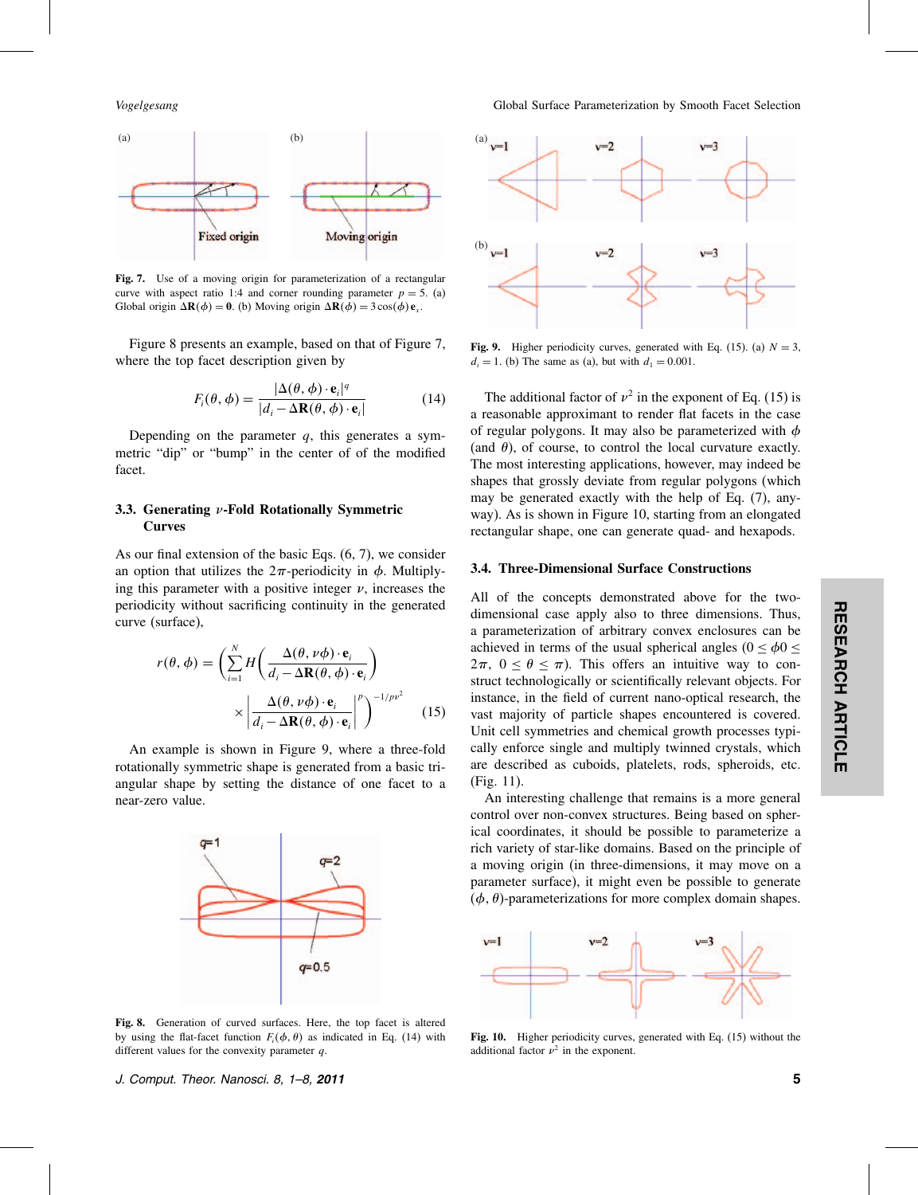

Fig. 7. Use of a moving origin for parameterization of a rectangular curve with aspect ratio 1:4 and corner rounding parameter  $p = 5$ . (a) Global origin  $\Delta \mathbf{R}(\phi) = 0$ . (b) Moving origin  $\Delta \mathbf{R}(\phi) = 3 \cos(\phi) \mathbf{e}_x$ .

Figure 8 presents an example, based on that of Figure 7, where the top facet description given by

$$
F_i(\theta, \phi) = \frac{|\Delta(\theta, \phi) \cdot \mathbf{e}_i|^q}{|d_i - \Delta \mathbf{R}(\theta, \phi) \cdot \mathbf{e}_i|}
$$
(14)

Depending on the parameter  $q$ , this generates a symmetric "dip" or "bump" in the center of of the modified facet.

## 3.3. Generating  $\nu$ -Fold Rotationally Symmetric Curves

As our final extension of the basic Eqs. (6, 7), we consider an option that utilizes the  $2\pi$ -periodicity in  $\phi$ . Multiplying this parameter with a positive integer  $\nu$ , increases the periodicity without sacrificing continuity in the generated curve (surface),

$$
r(\theta, \phi) = \left(\sum_{i=1}^{N} H\left(\frac{\Delta(\theta, \nu\phi) \cdot \mathbf{e}_i}{d_i - \Delta \mathbf{R}(\theta, \phi) \cdot \mathbf{e}_i}\right) \times \left|\frac{\Delta(\theta, \nu\phi) \cdot \mathbf{e}_i}{d_i - \Delta \mathbf{R}(\theta, \phi) \cdot \mathbf{e}_i}\right|^p\right)^{-1/pv^2}
$$
(15)

An example is shown in Figure 9, where a three-fold rotationally symmetric shape is generated from a basic triangular shape by setting the distance of one facet to a near-zero value.



Fig. 8. Generation of curved surfaces. Here, the top facet is altered by using the flat-facet function  $F_i(\phi, \theta)$  as indicated in Eq. (14) with different values for the convexity parameter  $q$ .



Fig. 9. Higher periodicity curves, generated with Eq. (15). (a)  $N = 3$ ,  $d_i = 1$ . (b) The same as (a), but with  $d_1 = 0.001$ .

The additional factor of  $\nu^2$  in the exponent of Eq. (15) is a reasonable approximant to render flat facets in the case of regular polygons. It may also be parameterized with  $\phi$ (and  $\theta$ ), of course, to control the local curvature exactly. The most interesting applications, however, may indeed be shapes that grossly deviate from regular polygons (which may be generated exactly with the help of Eq. (7), anyway). As is shown in Figure 10, starting from an elongated rectangular shape, one can generate quad- and hexapods.

#### 3.4. Three-Dimensional Surface Constructions

All of the concepts demonstrated above for the twodimensional case apply also to three dimensions. Thus, a parameterization of arbitrary convex enclosures can be achieved in terms of the usual spherical angles ( $0 \le \phi 0 \le$  $2\pi$ ,  $0 \le \theta \le \pi$ ). This offers an intuitive way to construct technologically or scientifically relevant objects. For instance, in the field of current nano-optical research, the vast majority of particle shapes encountered is covered. Unit cell symmetries and chemical growth processes typically enforce single and multiply twinned crystals, which are described as cuboids, platelets, rods, spheroids, etc. (Fig. 11).

An interesting challenge that remains is a more general control over non-convex structures. Being based on spherical coordinates, it should be possible to parameterize a rich variety of star-like domains. Based on the principle of a moving origin (in three-dimensions, it may move on a parameter surface), it might even be possible to generate  $(\phi, \theta)$ -parameterizations for more complex domain shapes.

Fig. 10. Higher periodicity curves, generated with Eq. (15) without the additional factor  $\nu^2$  in the exponent.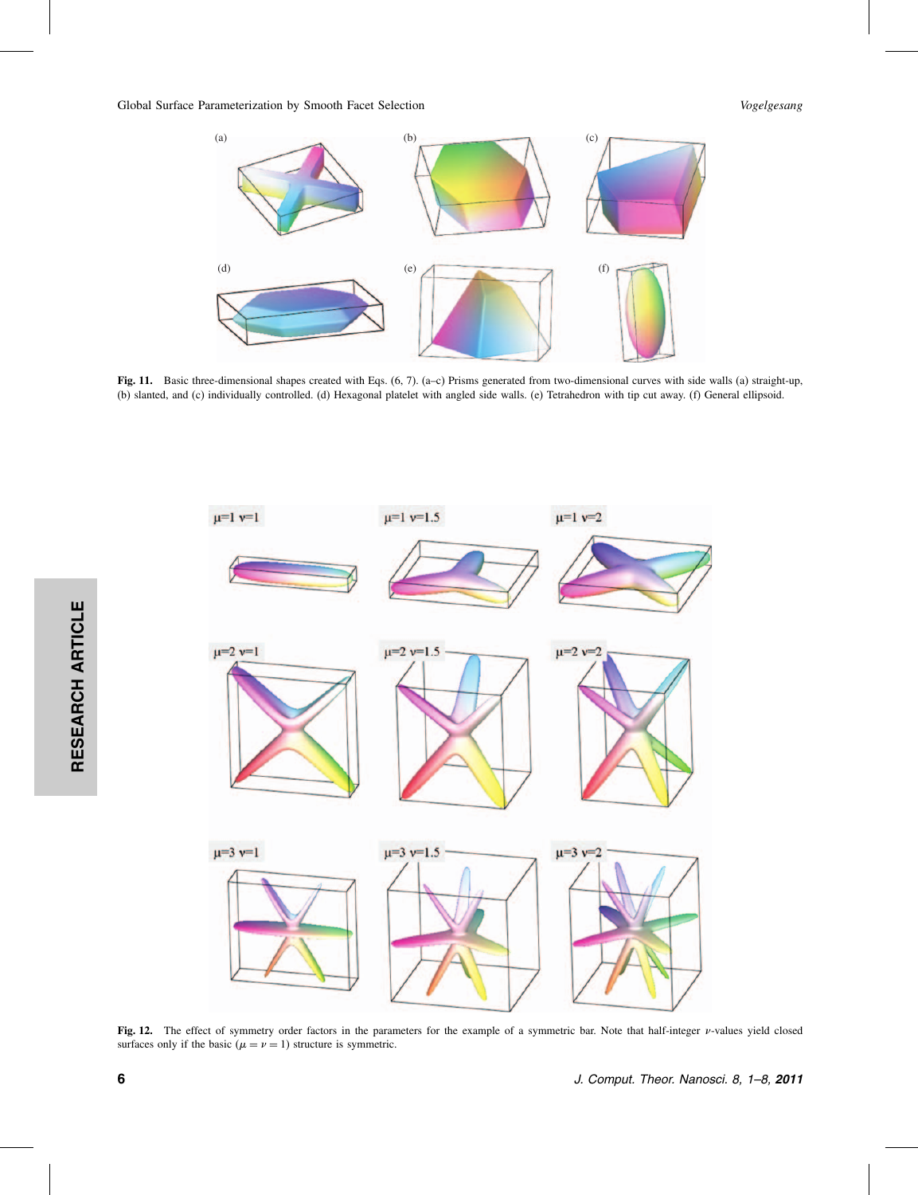

Fig. 11. Basic three-dimensional shapes created with Eqs. (6, 7). (a–c) Prisms generated from two-dimensional curves with side walls (a) straight-up, (b) slanted, and (c) individually controlled. (d) Hexagonal platelet with angled side walls. (e) Tetrahedron with tip cut away. (f) General ellipsoid.



Fig. 12. The effect of symmetry order factors in the parameters for the example of a symmetric bar. Note that half-integer  $\nu$ -values yield closed surfaces only if the basic ( $\mu = \nu = 1$ ) structure is symmetric.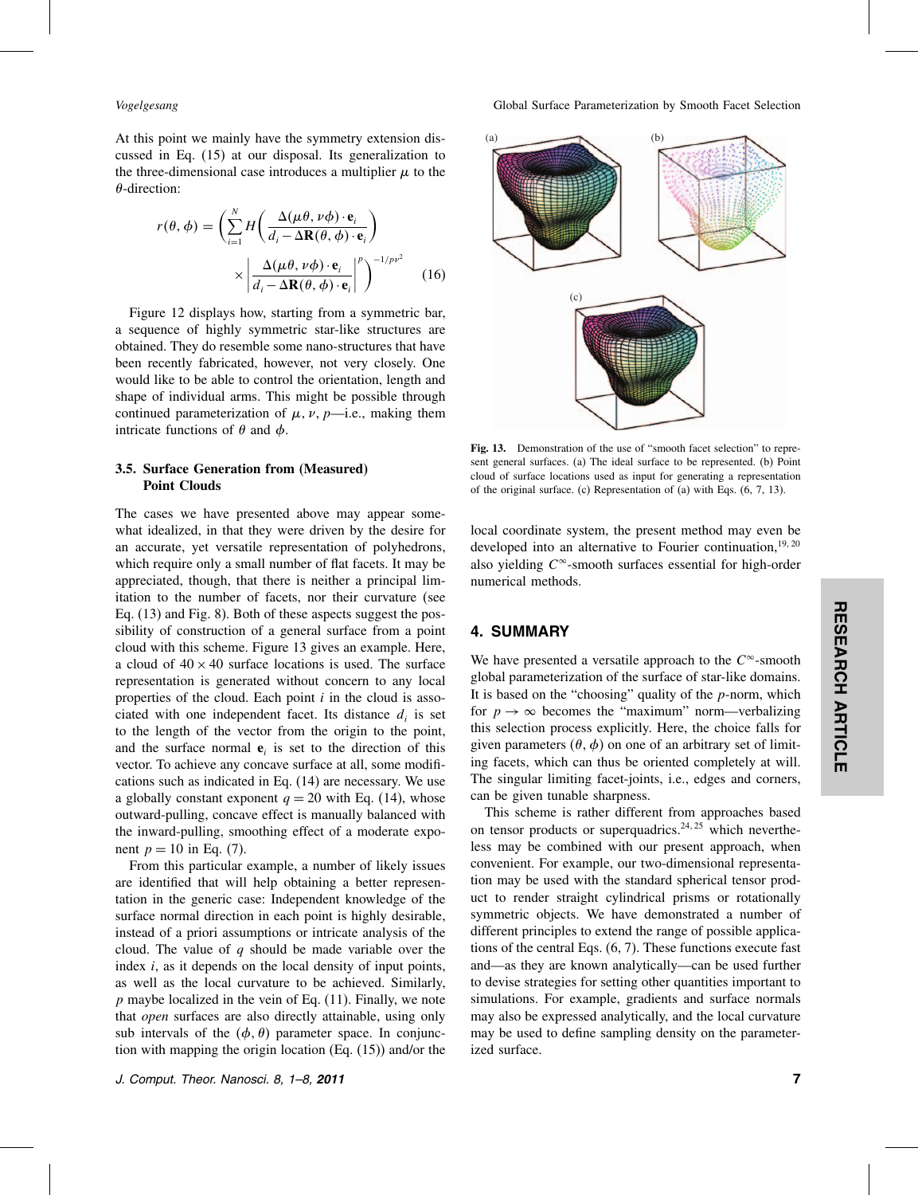At this point we mainly have the symmetry extension discussed in Eq. (15) at our disposal. Its generalization to the three-dimensional case introduces a multiplier  $\mu$  to the  $\theta$ -direction:

$$
r(\theta, \phi) = \left(\sum_{i=1}^{N} H\left(\frac{\Delta(\mu\theta, \nu\phi) \cdot \mathbf{e}_i}{d_i - \Delta \mathbf{R}(\theta, \phi) \cdot \mathbf{e}_i}\right) \times \left|\frac{\Delta(\mu\theta, \nu\phi) \cdot \mathbf{e}_i}{d_i - \Delta \mathbf{R}(\theta, \phi) \cdot \mathbf{e}_i}\right|^p\right)^{-1/pv^2}
$$
(16)

Figure 12 displays how, starting from a symmetric bar, a sequence of highly symmetric star-like structures are obtained. They do resemble some nano-structures that have been recently fabricated, however, not very closely. One would like to be able to control the orientation, length and shape of individual arms. This might be possible through continued parameterization of  $\mu$ ,  $\nu$ ,  $p$ —i.e., making them intricate functions of  $\theta$  and  $\phi$ .

## 3.5. Surface Generation from (Measured) Point Clouds

The cases we have presented above may appear somewhat idealized, in that they were driven by the desire for an accurate, yet versatile representation of polyhedrons, which require only a small number of flat facets. It may be appreciated, though, that there is neither a principal limitation to the number of facets, nor their curvature (see Eq. (13) and Fig. 8). Both of these aspects suggest the possibility of construction of a general surface from a point cloud with this scheme. Figure 13 gives an example. Here, a cloud of  $40 \times 40$  surface locations is used. The surface representation is generated without concern to any local properties of the cloud. Each point  $i$  in the cloud is associated with one independent facet. Its distance  $d_i$  is set to the length of the vector from the origin to the point, and the surface normal  $e_i$  is set to the direction of this vector. To achieve any concave surface at all, some modifications such as indicated in Eq. (14) are necessary. We use a globally constant exponent  $q = 20$  with Eq. (14), whose outward-pulling, concave effect is manually balanced with the inward-pulling, smoothing effect of a moderate exponent  $p = 10$  in Eq. (7).

From this particular example, a number of likely issues are identified that will help obtaining a better representation in the generic case: Independent knowledge of the surface normal direction in each point is highly desirable, instead of a priori assumptions or intricate analysis of the cloud. The value of  $q$  should be made variable over the index  $i$ , as it depends on the local density of input points, as well as the local curvature to be achieved. Similarly,  $p$  maybe localized in the vein of Eq.  $(11)$ . Finally, we note that *open* surfaces are also directly attainable, using only sub intervals of the  $(\phi, \theta)$  parameter space. In conjunction with mapping the origin location (Eq. (15)) and/or the



Fig. 13. Demonstration of the use of "smooth facet selection" to represent general surfaces. (a) The ideal surface to be represented. (b) Point cloud of surface locations used as input for generating a representation of the original surface. (c) Representation of (a) with Eqs. (6, 7, 13).

local coordinate system, the present method may even be developed into an alternative to Fourier continuation,  $19,20$ also yielding  $C^{\infty}$ -smooth surfaces essential for high-order numerical methods.

### 4. SUMMARY

We have presented a versatile approach to the  $C^{\infty}$ -smooth global parameterization of the surface of star-like domains. It is based on the "choosing" quality of the  $p$ -norm, which for  $p \to \infty$  becomes the "maximum" norm—verbalizing this selection process explicitly. Here, the choice falls for given parameters  $(\theta, \phi)$  on one of an arbitrary set of limiting facets, which can thus be oriented completely at will. The singular limiting facet-joints, i.e., edges and corners, can be given tunable sharpness.

This scheme is rather different from approaches based on tensor products or superquadrics.<sup>24, 25</sup> which nevertheless may be combined with our present approach, when convenient. For example, our two-dimensional representation may be used with the standard spherical tensor product to render straight cylindrical prisms or rotationally symmetric objects. We have demonstrated a number of different principles to extend the range of possible applications of the central Eqs. (6, 7). These functions execute fast and—as they are known analytically—can be used further to devise strategies for setting other quantities important to simulations. For example, gradients and surface normals may also be expressed analytically, and the local curvature may be used to define sampling density on the parameterized surface.